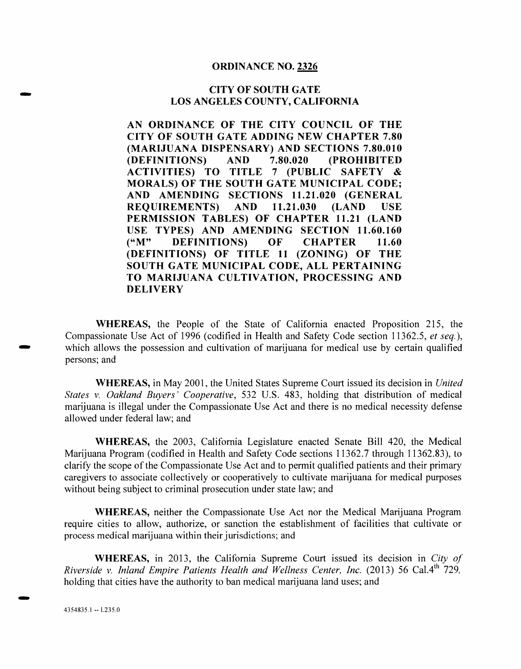#### **ORDINANCE NO. 2326**

#### **CITY OF SOUTH GATE LOS ANGELES COUNTY, CALIFORNIA**

**AN ORDINANCE OF THE CITY COUNCIL OF THE CITY OF SOUTH GATE ADDING NEW CHAPTER 7.80 (MARIJUANA DISPENSARY) AND SECTIONS 7.80.010 (DEFINITIONS) AND 7.80.020 (PROHIBITED ACTIVITIES) TO TITLE 7 (PUBLIC SAFETY & MORALS) OF THE SOUTH GATE MUNICIPAL CODE; AND AMENDING SECTIONS 11.21.020 (GENERAL REQUIREMENTS) AND 11.21.030 (LAND USE PERMISSION TABLES) OF CHAPTER 11.21 (LAND USE TYPES) AND AMENDING SECTION 11.60.160 ("M" DEFINITIONS) OF CHAPTER 11.60 (DEFINITIONS) OF TITLE 11 (ZONING) OF THE SOUTH GATE MUNICIPAL CODE, ALL PERTAINING TO MARIJUANA CULTIVATION, PROCESSING AND DELIVERY** 

**WHEREAS,** the People of the State of California enacted Proposition 215, the Compassionate Use Act of 1996 (codified in Health and Safety Code section 11362.5, *et seq.),*  which allows the possession and cultivation of marijuana for medical use by certain qualified persons; and

**WHEREAS,** in May 2001, the United States Supreme Court issued its decision in *United States v. Oakland Buyers' Cooperative,* 532 U.S. 483, holding that distribution of medical marijuana is illegal under the Compassionate Use Act and there is no medical necessity defense allowed under federal law; and

**WHEREAS,** the 2003, California Legislature enacted Senate Bill 420, the Medical Marijuana Program (codified in Health and Safety Code sections 11362.7 through 11362.83), to clarify the scope of the Compassionate Use Act and to permit qualified patients and their primary caregivers to associate collectively or cooperatively to cultivate marijuana for medical purposes without being subject to criminal prosecution under state law; and

**WHEREAS,** neither the Compassionate Use Act nor the Medical Marijuana Program require cities to allow, authorize, or sanction the establishment of facilities that cultivate or process medical marijuana within their jurisdictions; and

**WHEREAS,** in 2013, the California Supreme Court issued its decision in *City of Riverside v. Inland Empire Patients Health and Wellness Center, Inc.* (2013) 56 Cal.4th 729, holding that cities have the authority to ban medical marijuana land uses; and

**END**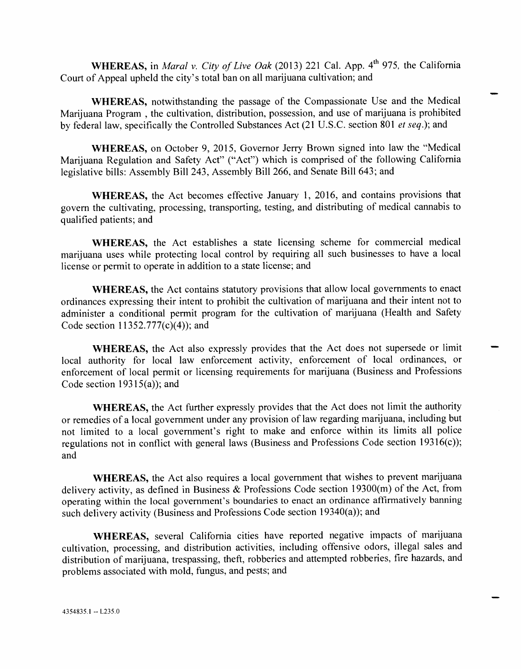**WHEREAS,** in *Maral v. City of Live Oak* (2013) 221 Cal. App. 4<sup>th</sup> 975, the California Court of Appeal upheld the city's total ban on all marijuana cultivation; and

**WHEREAS,** notwithstanding the passage of the Compassionate Use and the Medical Marijuana Program , the cultivation, distribution, possession, and use of marijuana is prohibited by federal law, specifically the Controlled Substances Act (21 U.S.C. section 801 *et seq.);* and

**WHEREAS,** on October 9, 2015, Governor Jerry Brown signed into law the "Medical Marijuana Regulation and Safety Act" ("Act") which is comprised of the following California legislative bills: Assembly Bill 243, Assembly **Bill** 266, and Senate Bill 643; and

**WHEREAS,** the Act becomes effective January 1, 2016, and contains provisions that govern the cultivating, processing, transporting, testing, and distributing of medical cannabis to qualified patients; and

**WHEREAS,** the Act establishes a state licensing scheme for commercial medical marijuana uses while protecting local control by requiring all such businesses to have a local license or permit to operate in addition to a state license; and

**WHEREAS,** the Act contains statutory provisions that allow local governments to enact ordinances expressing their intent to prohibit the cultivation of marijuana and their intent not to administer a conditional permit program for the cultivation of marijuana (Health and Safety Code section  $11352.777(c)(4)$ ; and

**WHEREAS,** the Act also expressly provides that the Act does not supersede or limit local authority for local law enforcement activity, enforcement of local ordinances, or enforcement of local permit or licensing requirements for marijuana (Business and Professions Code section 19315(a)); and

**WHEREAS,** the Act further expressly provides that the Act does not limit the authority or remedies of a local government under any provision of law regarding marijuana, including but not limited to a local government's right to make and enforce within its limits all police regulations not in conflict with general laws (Business and Professions Code section 19316(c)); and

**WHEREAS,** the Act also requires a local government that wishes to prevent marijuana delivery activity, as defined in Business & Professions Code section 19300(m) of the Act, from operating within the local government's boundaries to enact an ordinance affirmatively banning such delivery activity (Business and Professions Code section 19340(a)); and

**WHEREAS,** several California cities have reported negative impacts of marijuana cultivation, processing, and distribution activities, including offensive odors, illegal sales and distribution of marijuana, trespassing, theft, robberies and attempted robberies, fire hazards, and problems associated with mold, fungus, and pests; and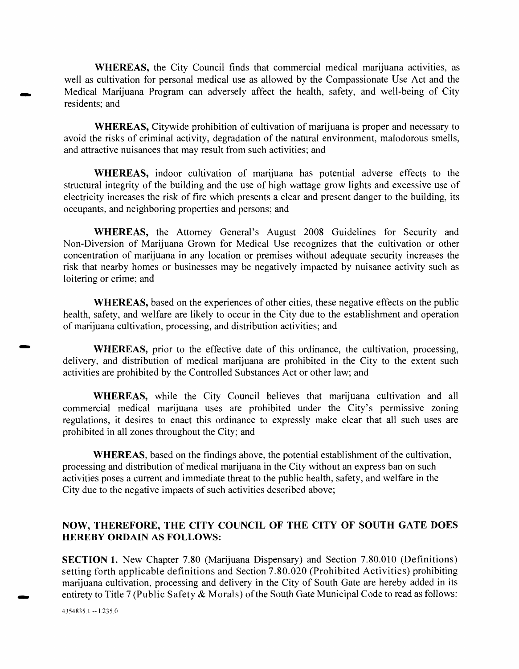**WHEREAS,** the City Council finds that commercial medical marijuana activities, as well as cultivation for personal medical use as allowed by the Compassionate Use Act and the Medical Marijuana Program can adversely affect the health, safety, and well-being of City residents; and

**WHEREAS,** Citywide prohibition of cultivation of marijuana is proper and necessary to avoid the risks of criminal activity, degradation of the natural environment, malodorous smells, and attractive nuisances that may result from such activities; and

**WHEREAS,** indoor cultivation of marijuana has potential adverse effects to the structural integrity of the building and the use of high wattage grow lights and excessive use of electricity increases the risk of fire which presents a clear and present danger to the building, its occupants, and neighboring properties and persons; and

**WHEREAS,** the Attorney General's August 2008 Guidelines for Security and Non-Diversion of Marijuana Grown for Medical Use recognizes that the cultivation or other concentration of marijuana in any location or premises without adequate security increases the risk that nearby homes or businesses may be negatively impacted by nuisance activity such as loitering or crime; and

**WHEREAS,** based on the experiences of other cities, these negative effects on the public health, safety, and welfare are likely to occur in the City due to the establishment and operation of marijuana cultivation, processing, and distribution activities; and

WHEREAS, prior to the effective date of this ordinance, the cultivation, processing, delivery, and distribution of medical marijuana are prohibited in the City to the extent such activities are prohibited by the Controlled Substances Act or other law; and

**WHEREAS,** while the City Council believes that marijuana cultivation and all commercial medical marijuana uses are prohibited under the City's permissive zoning regulations, it desires to enact this ordinance to expressly make clear that all such uses are prohibited in all zones throughout the City; and

**WHEREAS,** based on the findings above, the potential establishment of the cultivation, processing and distribution of medical marijuana in the City without an express ban on such activities poses a current and immediate threat to the public health, safety, and welfare in the City due to the negative impacts of such activities described above;

### **NOW, THEREFORE, THE CITY COUNCIL OF THE CITY OF SOUTH GATE DOES HEREBY ORDAIN AS FOLLOWS:**

**SECTION 1.** New Chapter 7.80 (Marijuana Dispensary) and Section 7.80.010 (Definitions) setting forth applicable definitions and Section 7.80.020 (Prohibited Activities) prohibiting marijuana cultivation, processing and delivery in the City of South Gate are hereby added in its entirety to Title 7 (Public Safety & Morals) of the South Gate Municipal Code to read as follows: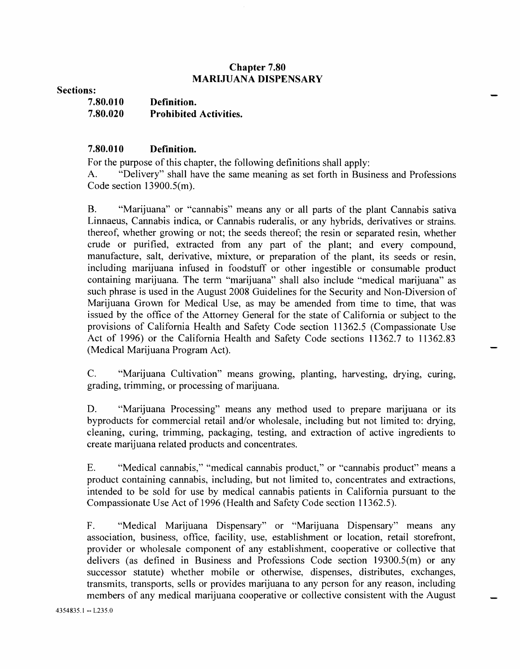#### **Chapter 7.80 MARIJUANA DISPENSARY**

**Sections:** 

| 7.80.010 | Definition.                   |
|----------|-------------------------------|
| 7.80.020 | <b>Prohibited Activities.</b> |

### **7.80.010 Definition.**

For the purpose of this chapter, the following definitions shall apply:

A. "Delivery" shall have the same meaning as set forth in Business and Professions Code section 13900.5(m).

B. "Marijuana" or "cannabis" means any or all parts of the plant Cannabis sativa Linnaeus, Cannabis indica, or Cannabis ruderalis, or any hybrids, derivatives or strains. thereof, whether growing or not; the seeds thereof; the resin or separated resin, whether crude or purified, extracted from any part of the plant; and every compound, manufacture, salt, derivative, mixture, or preparation of the plant, its seeds or resin, including marijuana infused in foodstuff or other ingestible or consumable product containing marijuana. The term "marijuana" shall also include "medical marijuana" as such phrase is used in the August 2008 Guidelines for the Security and Non-Diversion of Marijuana Grown for Medical Use, as may be amended from time to time, that was issued by the office of the Attorney General for the state of California or subject to the provisions of California Health and Safety Code section 11362.5 (Compassionate Use Act of 1996) or the California Health and Safety Code sections 11362.7 to 11362.83 (Medical Marijuana Program Act).

C. "Marijuana Cultivation" means growing, planting, harvesting, drying, curing, grading, trimming, or processing of marijuana.

D. "Marijuana Processing" means any method used to prepare marijuana or its byproducts for commercial retail and/or wholesale, including but not limited to: drying, cleaning, curing, trimming, packaging, testing, and extraction of active ingredients to create marijuana related products and concentrates.

E. "Medical cannabis," "medical cannabis product," or "cannabis product" means a product containing cannabis, including, but not limited to, concentrates and extractions, intended to be sold for use by medical cannabis patients in California pursuant to the Compassionate Use Act of 1996 (Health and Safety Code section 11362.5).

F. "Medical Marijuana Dispensary" or "Marijuana Dispensary" means any association, business, office, facility, use, establishment or location, retail storefront, provider or wholesale component of any establishment, cooperative or collective that delivers (as defined in Business and Professions Code section 19300.5(m) or any successor statute) whether mobile or otherwise, dispenses, distributes, exchanges, transmits, transports, sells or provides marijuana to any person for any reason, including members of any medical marijuana cooperative or collective consistent with the August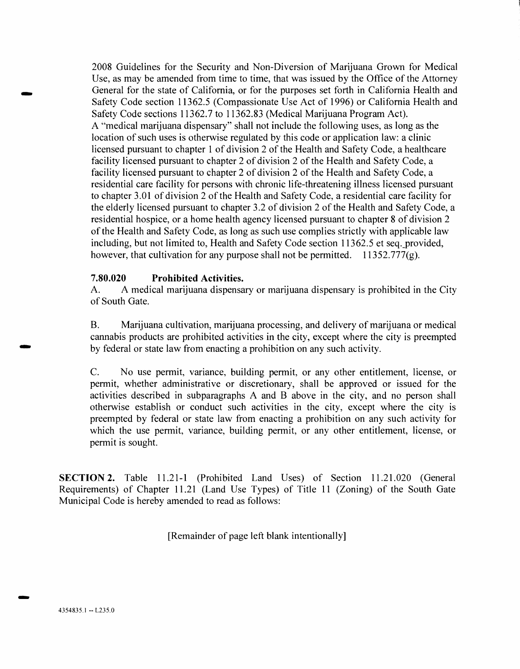2008 Guidelines for the Security and Non-Diversion of Marijuana Grown for Medical Use, as may be amended from time to time, that was issued by the Office of the Attorney General for the state of California, or for the purposes set forth in California Health and Safety Code section 11362.5 (Compassionate Use Act of 1996) or California Health and Safety Code sections 11362.7 to 11362.83 (Medical Marijuana Program Act). A "medical marijuana dispensary" shall not include the following uses, as long as the location of such uses is otherwise regulated by this code or application law: a clinic licensed pursuant to chapter 1 of division 2 of the Health and Safety Code, a healthcare facility licensed pursuant to chapter 2 of division 2 of the Health and Safety Code, a facility licensed pursuant to chapter 2 of division 2 of the Health and Safety Code, a residential care facility for persons with chronic life-threatening illness licensed pursuant to chapter 3.01 of division 2 of the Health and Safety Code, a residential care facility for the elderly licensed pursuant to chapter 3.2 of division 2 of the Health and Safety Code, a residential hospice, or a home health agency licensed pursuant to chapter 8 of division 2 of the Health and Safety Code, as long as such use complies strictly with applicable law including, but not limited to, Health and Safety Code section 11362.5 et seq. provided, however, that cultivation for any purpose shall not be permitted.  $11352.777(g)$ .

### **7.80.020 Prohibited Activities.**

A. A medical marijuana dispensary or marijuana dispensary is prohibited in the City of South Gate.

B. Marijuana cultivation, marijuana processing, and delivery of marijuana or medical cannabis products are prohibited activities in the city, except where the city is preempted by federal or state law from enacting a prohibition on any such activity.

C. No use permit, variance, building permit, or any other entitlement, license, or permit, whether administrative or discretionary, shall be approved or issued for the activities described in subparagraphs A and B above in the city, and no person shall otherwise establish or conduct such activities in the city, except where the city is preempted by federal or state law from enacting a prohibition on any such activity for which the use permit, variance, building permit, or any other entitlement, license, or permit is sought.

**SECTION 2.** Table 11.21-1 (Prohibited Land Uses) of Section 11.21.020 (General Requirements) of Chapter 11.21 (Land Use Types) of Title 11 (Zoning) of the South Gate Municipal Code is hereby amended to read as follows:

[Remainder of page left blank intentionally]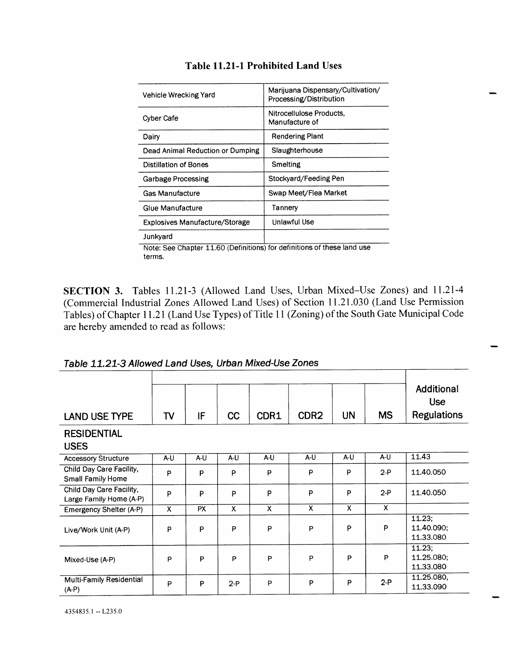| Vehicle Wrecking Yard                 | Marijuana Dispensary/Cultivation/<br>Processing/Distribution |
|---------------------------------------|--------------------------------------------------------------|
| Cyber Cafe                            | Nitrocellulose Products,<br>Manufacture of                   |
| Dairy                                 | <b>Rendering Plant</b>                                       |
| Dead Animal Reduction or Dumping      | Slaughterhouse                                               |
| Distillation of Bones                 | Smelting                                                     |
| <b>Garbage Processing</b>             | Stockyard/Feeding Pen                                        |
| <b>Gas Manufacture</b>                | Swap Meet/Flea Market                                        |
| Glue Manufacture                      | Tannery                                                      |
| <b>Explosives Manufacture/Storage</b> | Unlawful Use                                                 |
| Junkyard                              |                                                              |

### **Table 11.21-1 Prohibited Land** Uses

Note: See Chapter 11.60 (Definitions) for definitions of these land use terms.

**SECTION 3.** Tables 11.21-3 (Allowed Land Uses, Urban Mixed—Use Zones) and 11.21-4 (Commercial Industrial Zones Allowed Land Uses) of Section 11.21.030 (Land Use Permission Tables) of Chapter 11.21 (Land Use Types) of Title 11 (Zoning) of the South Gate Municipal Code are hereby amended to read as follows:

| Table 11.21-3 Allowed Land Uses, Urban Mixed-Use Zones |  |
|--------------------------------------------------------|--|
|--------------------------------------------------------|--|

| <b>LAND USE TYPE</b>                                | TV                      | IF        | cc                      | CDR1 | CDR <sub>2</sub>          | <b>UN</b>                 | <b>MS</b> | Additional<br><b>Use</b><br><b>Regulations</b> |
|-----------------------------------------------------|-------------------------|-----------|-------------------------|------|---------------------------|---------------------------|-----------|------------------------------------------------|
| <b>RESIDENTIAL</b><br><b>USES</b>                   |                         |           |                         |      |                           |                           |           |                                                |
| <b>Accessory Structure</b>                          | A-U                     | A-U       | A-U                     | A-U  | $A-U$                     | $A-U$                     | $A-U$     | 11.43                                          |
| Child Day Care Facility,<br>Small Family Home       | P                       | P         | P                       | P    | P                         | P                         | $2-P$     | 11.40.050                                      |
| Child Day Care Facility,<br>Large Family Home (A-P) | P                       | P         | P                       | P    | P                         | P                         | $2-P$     | 11.40.050                                      |
| Emergency Shelter (A-P)                             | $\overline{\mathbf{x}}$ | <b>PX</b> | $\overline{\mathsf{x}}$ | X    | $\boldsymbol{\mathsf{x}}$ | $\boldsymbol{\mathsf{x}}$ | X         |                                                |
| Live/Work Unit (A-P)                                | P                       | P         | P                       | P    | P                         | P                         | P         | 11.23;<br>11.40.090:<br>11.33.080              |
| Mixed-Use (A-P)                                     | P                       | P         | P                       | P    | P                         | P                         | P         | 11.23:<br>11.25.080;<br>11.33.080              |
| Multi-Family Residential<br>$(A-P)$                 | P                       | P         | $2-P$                   | P    | P                         | P                         | $2-P$     | 11.25.080,<br>11.33.090                        |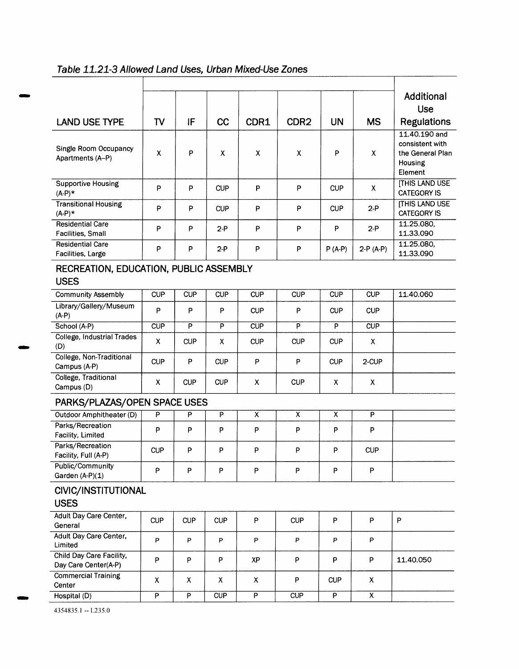| <b>LAND USE TYPE</b>                                  | T <sub>V</sub>          | IF                      | <b>CC</b>               | CDR1                      | CDR <sub>2</sub> | <b>UN</b>               | <b>MS</b>               | Additional<br><b>Use</b><br><b>Regulations</b>            |
|-------------------------------------------------------|-------------------------|-------------------------|-------------------------|---------------------------|------------------|-------------------------|-------------------------|-----------------------------------------------------------|
|                                                       |                         |                         |                         |                           |                  |                         |                         | 11.40.190 and                                             |
| Single Room Occupancy<br>Apartments (A-P)             | X                       | P                       | X                       | $\boldsymbol{\mathsf{X}}$ | X                | P                       | X                       | consistent with<br>the General Plan<br>Housing<br>Element |
| <b>Supportive Housing</b><br>$(A-P)$ *                | P                       | P                       | <b>CUP</b>              | P                         | P                | <b>CUP</b>              | X                       | <b>[THIS LAND USE</b><br><b>CATEGORY IS</b>               |
| <b>Transitional Housing</b><br>$(A-P)*$               | P                       | P                       | <b>CUP</b>              | P                         | P                | <b>CUP</b>              | $2-P$                   | <b>ITHIS LAND USE</b><br><b>CATEGORY IS</b>               |
| <b>Residential Care</b><br>Facilities, Small          | P                       | P                       | $2-P$                   | P                         | P                | P                       | $2-P$                   | 11.25.080,<br>11.33.090                                   |
| <b>Residential Care</b><br>Facilities, Large          | P                       | P                       | $2-P$                   | P                         | P                | $P(A-P)$                | $2-P(A-P)$              | 11.25.080,<br>11.33.090                                   |
| RECREATION, EDUCATION, PUBLIC ASSEMBLY<br><b>USES</b> |                         |                         |                         |                           |                  |                         |                         |                                                           |
| <b>Community Assembly</b>                             | <b>CUP</b>              | <b>CUP</b>              | <b>CUP</b>              | <b>CUP</b>                | <b>CUP</b>       | <b>CUP</b>              | <b>CUP</b>              | 11.40.060                                                 |
| Library/Gallery/Museum<br>$(A-P)$                     | P                       | P                       | P                       | <b>CUP</b>                | P                | <b>CUP</b>              | <b>CUP</b>              |                                                           |
| School (A-P)                                          | $\overline{\text{CUP}}$ | $\overline{\mathsf{P}}$ | $\overline{P}$          | CUP                       | $\overline{P}$   | $\overline{P}$          | CUP                     |                                                           |
| <b>College, Industrial Trades</b><br>(D)              | X                       | <b>CUP</b>              | X                       | <b>CUP</b>                | <b>CUP</b>       | <b>CUP</b>              | X                       |                                                           |
| College, Non-Traditional<br>Campus (A-P)              | <b>CUP</b>              | P                       | <b>CUP</b>              | P                         | P                | <b>CUP</b>              | 2-CUP                   |                                                           |
| College, Traditional<br>Campus (D)                    | X                       | <b>CUP</b>              | <b>CUP</b>              | X                         | <b>CUP</b>       | X                       | X                       |                                                           |
| PARKS/PLAZAS/OPEN SPACE USES                          |                         |                         |                         |                           |                  |                         |                         |                                                           |
| Outdoor Amphitheater (D)                              | P                       | P                       | $\overline{P}$          | $\overline{\mathsf{x}}$   | $\overline{x}$   | $\overline{\mathsf{x}}$ | P                       |                                                           |
| Parks/Recreation<br>Facility, Limited                 | P                       | P                       | P                       | P                         | P                | P                       | P                       |                                                           |
| Parks/Recreation<br>Facility, Full (A-P)              | <b>CUP</b>              | P                       | P                       | P                         | P                | P                       | <b>CUP</b>              |                                                           |
| Public/Community<br>Garden (A-P)(1)                   | P                       | P                       | P                       | P                         | P                | P                       | P                       |                                                           |
| CIVIC/INSTITUTIONAL<br><b>USES</b>                    |                         |                         |                         |                           |                  |                         |                         |                                                           |
| Adult Day Care Center,<br>General                     | <b>CUP</b>              | <b>CUP</b>              | <b>CUP</b>              | P                         | <b>CUP</b>       | P                       | P                       | P                                                         |
| <b>Adult Day Care Center,</b><br>Limited              | P                       | P                       | P                       | P                         | P                | P                       | P                       |                                                           |
| Child Day Care Facility,<br>Day Care Center(A-P)      | P                       | P                       | P                       | XP                        | P                | P                       | P                       | 11.40.050                                                 |
| <b>Commercial Training</b><br>Center                  | X                       | X                       | X                       | X                         | P                | <b>CUP</b>              | X                       |                                                           |
| Hospital (D)                                          | $\overline{P}$          | $\overline{P}$          | $\overline{\text{CUP}}$ | $\overline{P}$            | CUP              | $\overline{\mathsf{P}}$ | $\overline{\mathsf{x}}$ |                                                           |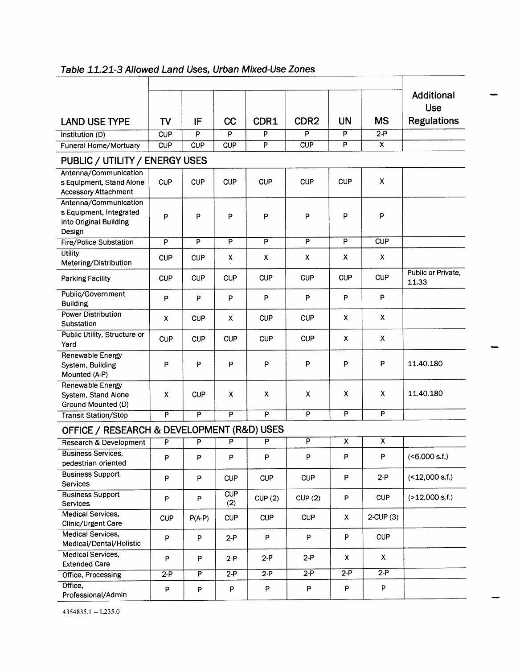|                                                                                      |                |                         |                   |                         |                         |                           |                         | <b>Additional</b><br><b>Use</b> |  |  |  |
|--------------------------------------------------------------------------------------|----------------|-------------------------|-------------------|-------------------------|-------------------------|---------------------------|-------------------------|---------------------------------|--|--|--|
| <b>LAND USE TYPE</b>                                                                 | TV             | IF                      | <b>CC</b>         | CDR1                    | CDR <sub>2</sub>        | <b>UN</b>                 | <b>MS</b>               | <b>Regulations</b>              |  |  |  |
| Institution (D)                                                                      | CUP            | P                       | P                 | P                       | P                       | P                         | $2-P$                   |                                 |  |  |  |
| <b>Funeral Home/Mortuary</b>                                                         | CUP            | CUP                     | CUP               | $\overline{\mathsf{P}}$ | CUP                     | $\overline{\mathsf{P}}$   | $\mathsf{x}$            |                                 |  |  |  |
| PUBLIC / UTILITY / ENERGY USES                                                       |                |                         |                   |                         |                         |                           |                         |                                 |  |  |  |
| Antenna/Communication<br>s Equipment, Stand Alone<br><b>Accessory Attachment</b>     | <b>CUP</b>     | <b>CUP</b>              | <b>CUP</b>        | <b>CUP</b>              | <b>CUP</b>              | <b>CUP</b>                | x                       |                                 |  |  |  |
| Antenna/Communication<br>s Equipment, Integrated<br>into Original Building<br>Design | P              | P                       | P                 | P                       | P                       | P                         | P                       |                                 |  |  |  |
| <b>Fire/Police Substation</b>                                                        | P              | $\overline{\mathsf{P}}$ | P                 | $\overline{P}$          | P                       | $\overline{P}$            | CUP                     |                                 |  |  |  |
| <b>Utility</b><br>Metering/Distribution                                              | <b>CUP</b>     | <b>CUP</b>              | X                 | X                       | x                       | X                         | X                       |                                 |  |  |  |
| <b>Parking Facility</b>                                                              | <b>CUP</b>     | <b>CUP</b>              | <b>CUP</b>        | <b>CUP</b>              | <b>CUP</b>              | <b>CUP</b>                | <b>CUP</b>              | Public or Private,<br>11.33     |  |  |  |
| Public/Government<br><b>Building</b>                                                 | P              | P                       | P                 | P                       | P                       | P                         | P                       |                                 |  |  |  |
| <b>Power Distribution</b><br>Substation                                              | X              | <b>CUP</b>              | х                 | <b>CUP</b>              | <b>CUP</b>              | X                         | X                       |                                 |  |  |  |
| Public Utility, Structure or<br>Yard                                                 | <b>CUP</b>     | <b>CUP</b>              | <b>CUP</b>        | <b>CUP</b>              | <b>CUP</b>              | $\mathsf{x}$              | X                       |                                 |  |  |  |
| Renewable Energy<br>System, Building<br>Mounted (A-P)                                | P              | P                       | P                 | P                       | P                       | P                         | P                       | 11.40.180                       |  |  |  |
| <b>Renewable Energy</b><br>System, Stand Alone<br>Ground Mounted (D)                 | X              | <b>CUP</b>              | X                 | X                       | X                       | $\boldsymbol{\mathsf{X}}$ | X                       | 11.40.180                       |  |  |  |
| <b>Transit Station/Stop</b>                                                          | $\overline{P}$ | P                       | $\overline{P}$    | $\overline{P}$          | $\overline{P}$          | P                         | $\overline{P}$          |                                 |  |  |  |
| OFFICE / RESEARCH & DEVELOPMENT (R&D) USES                                           |                |                         |                   |                         |                         |                           |                         |                                 |  |  |  |
| <b>Research &amp; Development</b>                                                    | P              | P                       | P                 | P                       | $\overline{\mathsf{P}}$ | $\overline{x}$            | $\overline{\mathsf{x}}$ |                                 |  |  |  |
| <b>Business Services.</b><br>pedestrian oriented                                     | P              | P                       | P                 | P                       | P                       | P                         | P                       | (<6,000 s.f.)                   |  |  |  |
| <b>Business Support</b><br>Services                                                  | P              | P                       | <b>CUP</b>        | <b>CUP</b>              | <b>CUP</b>              | P                         | $2-P$                   | $($ < 12,000 s.f.)              |  |  |  |
| <b>Business Support</b><br>Services                                                  | P              | P                       | <b>CUP</b><br>(2) | CUP(2)                  | CUP(2)                  | P                         | <b>CUP</b>              | (>12,000 s.f.)                  |  |  |  |
| <b>Medical Services,</b><br>Clinic/Urgent Care                                       | <b>CUP</b>     | $P(A-P)$                | <b>CUP</b>        | <b>CUP</b>              | <b>CUP</b>              | X.                        | $2$ -CUP $(3)$          |                                 |  |  |  |
| <b>Medical Services.</b><br>Medical/Dental/Holistic                                  | P              | P                       | $2-P$             | P                       | P                       | P                         | <b>CUP</b>              |                                 |  |  |  |
| <b>Medical Services,</b><br><b>Extended Care</b>                                     | P              | P                       | $2-P$             | $2-P$                   | $2-P$                   | X                         | X                       |                                 |  |  |  |
| Office, Processing                                                                   | $2-P$          | $\overline{\mathsf{P}}$ | $2-P$             | $2-P$                   | $2-P$                   | $2-P$                     | $2-P$                   |                                 |  |  |  |
| Office,<br>Professional/Admin                                                        | P              | $\sf P$                 | P                 | P                       | $\sf P$                 | P                         | P                       |                                 |  |  |  |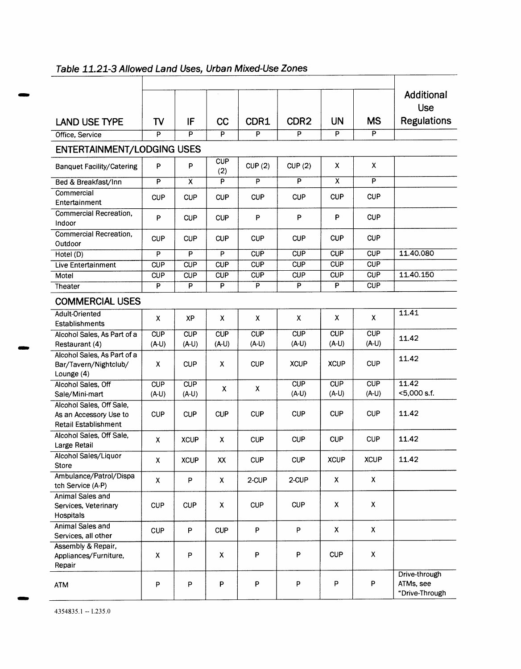|                                                                                   |                         |                         |                         |                |                         |                           |                         | Additional<br><b>Use</b>                     |
|-----------------------------------------------------------------------------------|-------------------------|-------------------------|-------------------------|----------------|-------------------------|---------------------------|-------------------------|----------------------------------------------|
| <b>LAND USE TYPE</b>                                                              | TV                      | IF                      | cc                      | CDR1           | CDR <sub>2</sub>        | <b>UN</b>                 | <b>MS</b>               | <b>Regulations</b>                           |
| Office, Service                                                                   | P                       | $\overline{P}$          | $\overline{P}$          | $\overline{P}$ | P                       | P                         | $\overline{P}$          |                                              |
| <b>ENTERTAINMENT/LODGING USES</b>                                                 |                         |                         |                         |                |                         |                           |                         |                                              |
| <b>Banquet Facility/Catering</b>                                                  | P                       | P                       | <b>CUP</b><br>(2)       | CUP(2)         | CUP(2)                  | X                         | X                       |                                              |
| Bed & Breakfast/Inn                                                               | $\overline{\mathsf{P}}$ | $\overline{\mathsf{x}}$ | $\overline{\mathsf{P}}$ | P              | $\overline{P}$          | $\overline{\mathsf{x}}$   | $\overline{P}$          |                                              |
| Commercial<br>Entertainment                                                       | <b>CUP</b>              | <b>CUP</b>              | <b>CUP</b>              | <b>CUP</b>     | <b>CUP</b>              | <b>CUP</b>                | <b>CUP</b>              |                                              |
| Commercial Recreation,<br>Indoor                                                  | P                       | <b>CUP</b>              | <b>CUP</b>              | P              | P                       | P                         | <b>CUP</b>              |                                              |
| <b>Commercial Recreation,</b><br>Outdoor                                          | <b>CUP</b>              | <b>CUP</b>              | <b>CUP</b>              | <b>CUP</b>     | <b>CUP</b>              | <b>CUP</b>                | <b>CUP</b>              |                                              |
| Hotel (D)                                                                         | P                       | $\overline{P}$          | P                       | CUP            | $\overline{\text{CUP}}$ | CUP                       | CUP                     | 11.40.080                                    |
| Live Entertainment                                                                | <b>CUP</b>              | <b>CUP</b>              | <b>CUP</b>              | <b>CUP</b>     | <b>CUP</b>              | <b>CUP</b>                | <b>CUP</b>              |                                              |
| Motel                                                                             | CUP                     | CUP                     | CUP                     | <b>CUP</b>     | CUP                     | <b>CUP</b>                | <b>CUP</b>              | 11.40.150                                    |
| Theater                                                                           | P                       | P                       | P                       | P              | $\overline{P}$          | P                         | <b>CUP</b>              |                                              |
| <b>COMMERCIAL USES</b>                                                            |                         |                         |                         |                |                         |                           |                         |                                              |
| Adult-Oriented<br>Establishments                                                  | X                       | XP                      | X                       | X              | X.                      | x                         | X                       | 11.41                                        |
| Alcohol Sales, As Part of a                                                       | <b>CUP</b>              | CUP                     | CUP                     | CUP            | CUP                     | CUP                       | $\overline{\text{CUP}}$ | 11.42                                        |
| Restaurant (4)                                                                    | $(A-U)$                 | $(A-U)$                 | $(A-U)$                 | $(A-U)$        | $(A-U)$                 | $(A-U)$                   | $(A-U)$                 |                                              |
| Alcohol Sales, As Part of a<br>Bar/Tavern/Nightclub/<br>Lounge $(4)$              | X                       | <b>CUP</b>              | X                       | <b>CUP</b>     | <b>XCUP</b>             | <b>XCUP</b>               | <b>CUP</b>              | 11.42                                        |
| Alcohol Sales, Off<br>Sale/Mini-mart                                              | <b>CUP</b><br>(A-U)     | CUP<br>$(A-U)$          | X                       | X              | CUP<br>$(A-U)$          | CUP<br>$(A-U)$            | CUP<br>(A-U)            | 11.42<br><5,000 s.f.                         |
| Alcohol Sales, Off Sale,<br>As an Accessory Use to<br><b>Retail Establishment</b> | <b>CUP</b>              | <b>CUP</b>              | <b>CUP</b>              | <b>CUP</b>     | <b>CUP</b>              | <b>CUP</b>                | <b>CUP</b>              | 11.42                                        |
| Alcohol Sales, Off Sale,<br>Large Retail                                          | X                       | <b>XCUP</b>             | x                       | <b>CUP</b>     | <b>CUP</b>              | <b>CUP</b>                | <b>CUP</b>              | 11.42                                        |
| Alcohol Sales/Liquor<br>Store                                                     | х                       | <b>XCUP</b>             | XX                      | <b>CUP</b>     | <b>CUP</b>              | <b>XCUP</b>               | <b>XCUP</b>             | 11.42                                        |
| Ambulance/Patrol/Dispa<br>tch Service (A-P)                                       | X                       | P                       | X                       | 2-CUP          | 2-CUP                   | X                         | X                       |                                              |
| Animal Sales and<br>Services, Veterinary<br>Hospitals                             | <b>CUP</b>              | <b>CUP</b>              | X                       | <b>CUP</b>     | <b>CUP</b>              | X                         | X                       |                                              |
| Animal Sales and<br>Services, all other                                           | <b>CUP</b>              | P                       | <b>CUP</b>              | P              | P                       | $\boldsymbol{\mathsf{X}}$ | $\pmb{\mathsf{X}}$      |                                              |
| Assembly & Repair,<br>Appliances/Furniture,<br>Repair                             | $\pmb{\mathsf{X}}$      | P                       | $\pmb{\mathsf{X}}$      | P              | P                       | <b>CUP</b>                | X                       |                                              |
| <b>ATM</b>                                                                        | P                       | P                       | P                       | P              | P                       | P                         | P                       | Drive-through<br>ATMs, see<br>"Drive-Through |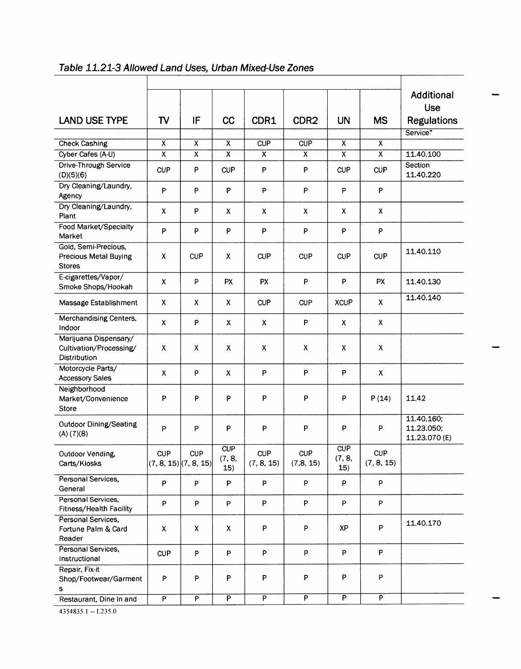|                                                                       |                         |                                         |                      |                          |                          |                         |                           | Additional<br>Use                         |
|-----------------------------------------------------------------------|-------------------------|-----------------------------------------|----------------------|--------------------------|--------------------------|-------------------------|---------------------------|-------------------------------------------|
| <b>LAND USE TYPE</b>                                                  | TV                      | IF                                      | cc                   | CDR1                     | CDR <sub>2</sub>         | <b>UN</b>               | <b>MS</b>                 | <b>Regulations</b>                        |
|                                                                       |                         |                                         |                      |                          |                          |                         |                           | Service"                                  |
| <b>Check Cashing</b>                                                  | $\overline{\mathsf{x}}$ | X                                       | $\overline{\sf x}$   | CUP                      | CUP                      | $\overline{\mathsf{x}}$ | $\overline{\mathsf{x}}$   |                                           |
| Cyber Cafes (A-U)                                                     | $\overline{\mathsf{x}}$ | $\overline{\mathsf{x}}$                 | $\overline{\sf x}$   | $\overline{x}$           | $\overline{\mathsf{x}}$  | $\overline{\sf x}$      | $\overline{\mathsf{x}}$   | 11.40.100                                 |
| Drive-Through Service<br>(D)(5)(6)                                    | <b>CUP</b>              | P                                       | <b>CUP</b>           | $\mathsf{P}$             | P                        | <b>CUP</b>              | <b>CUP</b>                | Section<br>11.40.220                      |
| Dry Cleaning/Laundry,<br>Agency                                       | $\mathsf{P}$            | P                                       | P                    | P                        | P                        | P                       | P                         |                                           |
| Dry Cleaning/Laundry,<br>Plant                                        | X                       | P                                       | X                    | X                        | X                        | X                       | $\pmb{\times}$            |                                           |
| Food Market/Specialty<br>Market                                       | $\sf P$                 | P                                       | P                    | P                        | P                        | P                       | P                         |                                           |
| Gold, Semi-Precious,<br><b>Precious Metal Buying</b><br><b>Stores</b> | $\pmb{\mathsf{X}}$      | <b>CUP</b>                              | X                    | <b>CUP</b>               | <b>CUP</b>               | <b>CUP</b>              | <b>CUP</b>                | 11.40.110                                 |
| E-cigarettes/Vapor/<br>Smoke Shops/Hookah                             | Χ                       | P                                       | <b>PX</b>            | PX                       | P                        | P                       | <b>PX</b>                 | 11.40.130                                 |
| Massage Establishment                                                 | X                       | X                                       | X                    | <b>CUP</b>               | <b>CUP</b>               | <b>XCUP</b>             | X                         | 11.40.140                                 |
| Merchandising Centers,<br>Indoor                                      | X                       | P                                       | x                    | X                        | P                        | X                       | $\pmb{\times}$            |                                           |
| Marijuana Dispensary/<br>Cultivation/Processing/<br>Distribution      | X                       | X                                       | X                    | X                        | X                        | X.                      | $\boldsymbol{\mathsf{X}}$ |                                           |
| Motorcycle Parts/<br><b>Accessory Sales</b>                           | X                       | P                                       | X                    | P                        | P                        | P                       | X                         |                                           |
| Neighborhood<br>Market/Convenience<br>Store                           | P                       | P                                       | P                    | P                        | P                        | P                       | P(14)                     | 11.42                                     |
| Outdoor Dining/Seating<br>(A) (7)(8)                                  | P                       | P                                       | P                    | P                        | P                        | P                       | P                         | 11.40.160;<br>11.23.050;<br>11.23.070 (E) |
| Outdoor Vending,<br>Carts/Kiosks                                      | CUP                     | <b>CUP</b><br>$(7, 8, 15)$ $(7, 8, 15)$ | CUP<br>(7, 8,<br>15) | <b>CUP</b><br>(7, 8, 15) | <b>CUP</b><br>(7, 8, 15) | CUP<br>(7, 8,<br>15)    | <b>CUP</b><br>(7, 8, 15)  |                                           |
| Personal Services,<br>General                                         | P                       | P                                       | P                    | P                        | P                        | P                       | P                         |                                           |
| Personal Services,<br>Fitness/Health Facility                         | P                       | P                                       | P                    | P                        | P                        | P                       | P                         |                                           |
| Personal Services,<br>Fortune Palm & Card<br>Reader                   | $\pmb{\mathsf{X}}$      | X                                       | X                    | P                        | P                        | <b>XP</b>               | P                         | 11.40.170                                 |
| Personal Services,<br>Instructional                                   | <b>CUP</b>              | P                                       | P                    | P                        | P                        | P                       | P                         |                                           |
| Repair, Fix-it<br>Shop/Footwear/Garment<br>s                          | P                       | P                                       | P                    | P                        | P                        | P                       | P                         |                                           |
| Restaurant, Dine In and                                               | $\overline{P}$          | $\overline{P}$                          | $\overline{P}$       | $\overline{P}$           | $\overline{P}$           | $\overline{P}$          | $\overline{\mathsf{P}}$   |                                           |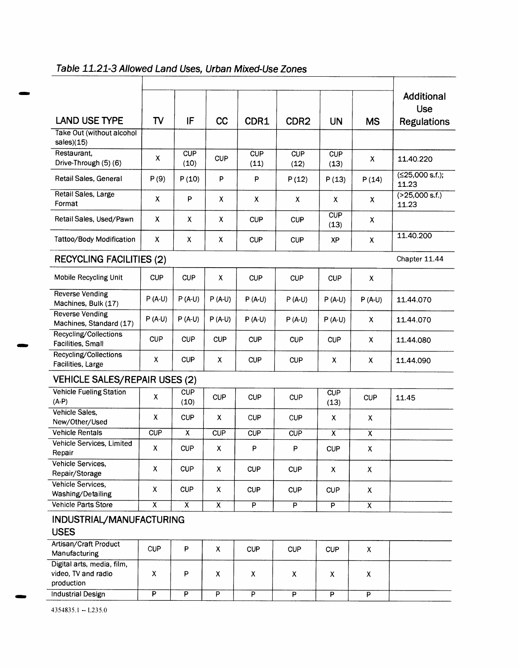|                                                                 |                         |                           |                           |                         |                  |                           |                         | Additional<br><b>Use</b>   |
|-----------------------------------------------------------------|-------------------------|---------------------------|---------------------------|-------------------------|------------------|---------------------------|-------------------------|----------------------------|
| <b>LAND USE TYPE</b>                                            | TV                      | IF                        | cc                        | CDR1                    | CDR <sub>2</sub> | <b>UN</b>                 | <b>MS</b>               | <b>Regulations</b>         |
| Take Out (without alcohol<br>$sales$ $(15)$                     |                         |                           |                           |                         |                  |                           |                         |                            |
| Restaurant,<br>Drive-Through (5) (6)                            | X                       | <b>CUP</b><br>(10)        | <b>CUP</b>                | CUP<br>(11)             | CUP<br>(12)      | CUP<br>(13)               | X                       | 11.40.220                  |
| Retail Sales, General                                           | P(9)                    | P(10)                     | P                         | P                       | P(12)            | P(13)                     | P(14)                   | $(≤25,000$ s.f.);<br>11.23 |
| Retail Sales, Large<br>Format                                   | X                       | P                         | X                         | X                       | x                | X.                        | x                       | (>25,000 s.f.)<br>11.23    |
| Retail Sales, Used/Pawn                                         | $\mathsf{X}$            | X                         | X                         | <b>CUP</b>              | <b>CUP</b>       | CUP<br>(13)               | X                       |                            |
| Tattoo/Body Modification                                        | X                       | X                         | X                         | <b>CUP</b>              | <b>CUP</b>       | XP                        | $\pmb{\chi}$            | 11.40.200                  |
| <b>RECYCLING FACILITIES (2)</b>                                 |                         |                           |                           |                         |                  |                           |                         | Chapter 11.44              |
| Mobile Recycling Unit                                           | <b>CUP</b>              | <b>CUP</b>                | X.                        | <b>CUP</b>              | <b>CUP</b>       | <b>CUP</b>                | X                       |                            |
| <b>Reverse Vending</b><br>Machines, Bulk (17)                   | $P(A-U)$                | $P(A-U)$                  | $P(A-U)$                  | $P(A-U)$                | $P(A-U)$         | $P(A-U)$                  | $P(A-U)$                | 11.44.070                  |
| <b>Reverse Vending</b><br>Machines, Standard (17)               | $P(A-U)$                | $P(A-U)$                  | $P(A-U)$                  | $P(A-U)$                | $P(A-U)$         | $P(A-U)$                  | X                       | 11.44.070                  |
| Recycling/Collections<br>Facilities, Small                      | <b>CUP</b>              | <b>CUP</b>                | <b>CUP</b>                | <b>CUP</b>              | <b>CUP</b>       | <b>CUP</b>                | X                       | 11.44.080                  |
| Recycling/Collections<br>Facilities, Large                      | X                       | <b>CUP</b>                | X                         | <b>CUP</b>              | <b>CUP</b>       | X                         | X                       | 11.44.090                  |
| <b>VEHICLE SALES/REPAIR USES (2)</b>                            |                         |                           |                           |                         |                  |                           |                         |                            |
| <b>Vehicle Fueling Station</b>                                  |                         | <b>CUP</b>                |                           |                         |                  | <b>CUP</b>                |                         |                            |
| $(A-P)$                                                         | X                       | (10)                      | <b>CUP</b>                | <b>CUP</b>              | <b>CUP</b>       | (13)                      | <b>CUP</b>              | 11.45                      |
| Vehicle Sales,<br>New/Other/Used                                | X                       | <b>CUP</b>                | X                         | <b>CUP</b>              | <b>CUP</b>       | $\boldsymbol{\mathsf{X}}$ | X                       |                            |
| <b>Vehicle Rentals</b>                                          | CUP                     | $\boldsymbol{\mathsf{X}}$ | CUP                       | <b>CUP</b>              | <b>CUP</b>       | X                         | X                       |                            |
| Vehicle Services, Limited<br>Repair                             | х                       | <b>CUP</b>                | $\boldsymbol{\mathsf{X}}$ | P                       | P                | <b>CUP</b>                | X                       |                            |
| Vehicle Services,<br>Repair/Storage                             | X                       | <b>CUP</b>                | $\pmb{\mathsf{X}}$        | <b>CUP</b>              | <b>CUP</b>       | X                         | Χ                       |                            |
| Vehicle Services,<br>Washing/Detailing                          | X                       | <b>CUP</b>                | X                         | <b>CUP</b>              | <b>CUP</b>       | <b>CUP</b>                | X                       |                            |
| Vehicle Parts Store                                             | $\overline{\mathsf{x}}$ | $\overline{x}$            | $\overline{x}$            | $\overline{\mathsf{P}}$ | $\overline{P}$   | $\overline{P}$            | $\overline{\mathsf{x}}$ |                            |
| INDUSTRIAL/MANUFACTURING                                        |                         |                           |                           |                         |                  |                           |                         |                            |
| <b>USES</b>                                                     |                         |                           |                           |                         |                  |                           |                         |                            |
| Artisan/Craft Product                                           | <b>CUP</b>              | P                         | X                         | <b>CUP</b>              | <b>CUP</b>       | <b>CUP</b>                | $\pmb{\times}$          |                            |
| Manufacturing                                                   |                         |                           |                           |                         |                  |                           |                         |                            |
| Digital arts, media, film,<br>video, TV and radio<br>production | X                       | P                         | X                         | X                       | X.               | X                         | X.                      |                            |
| Industrial Design                                               | $\overline{P}$          | $\overline{P}$            | $\overline{P}$            | $\overline{P}$          | $\overline{P}$   | $\overline{\mathsf{P}}$   | $\overline{P}$          |                            |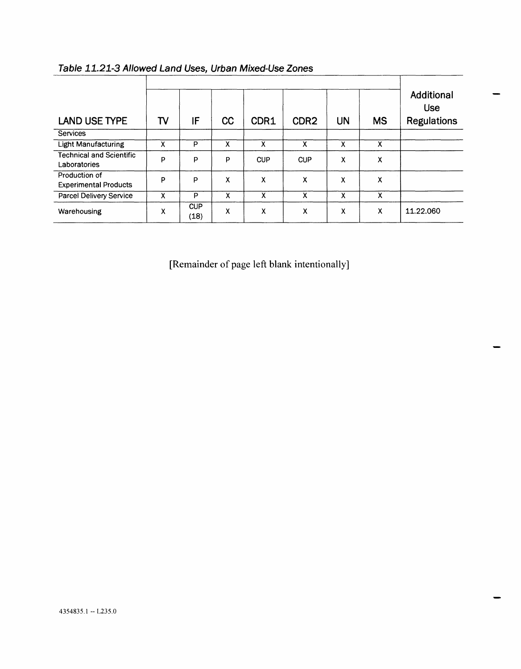| <b>LAND USE TYPE</b>                            | TV | IF                 | CC                        | CDR1       | CDR <sub>2</sub> | UN                        | <b>MS</b> | <b>Additional</b><br><b>Use</b><br><b>Regulations</b> |
|-------------------------------------------------|----|--------------------|---------------------------|------------|------------------|---------------------------|-----------|-------------------------------------------------------|
| <b>Services</b>                                 |    |                    |                           |            |                  |                           |           |                                                       |
| <b>Light Manufacturing</b>                      | χ  | P                  | χ                         | X          | X                | x                         | х         |                                                       |
| <b>Technical and Scientific</b><br>Laboratories | P  | P                  | P                         | <b>CUP</b> | <b>CUP</b>       | X                         | χ         |                                                       |
| Production of<br><b>Experimental Products</b>   | P  | P                  | χ                         | χ          | χ                | X                         | χ         |                                                       |
| Parcel Delivery Service                         | χ  | P                  | χ                         | x          | x                | $\boldsymbol{\mathsf{x}}$ | x         |                                                       |
| Warehousing                                     | χ  | <b>CUP</b><br>(18) | $\boldsymbol{\mathsf{x}}$ | х          | Х                | X                         | x         | 11.22.060                                             |

| Table 11.21-3 Allowed Land Uses, Urban Mixed-Use Zones |  |
|--------------------------------------------------------|--|
|--------------------------------------------------------|--|

[Remainder of page left blank intentionally]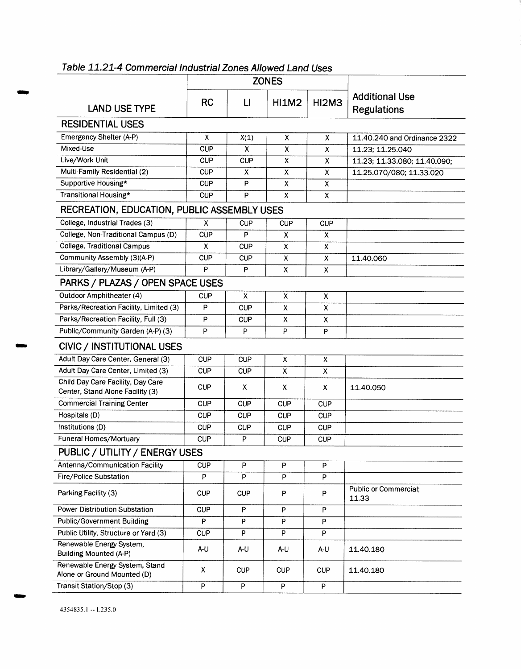|                                                                       |                | <b>ZONES</b>   |                           |                           |                                             |  |
|-----------------------------------------------------------------------|----------------|----------------|---------------------------|---------------------------|---------------------------------------------|--|
| <b>LAND USE TYPE</b>                                                  | <b>RC</b>      | $\mathsf{L}$   | <b>HI1M2</b>              | <b>HI2M3</b>              | <b>Additional Use</b><br><b>Regulations</b> |  |
| <b>RESIDENTIAL USES</b>                                               |                |                |                           |                           |                                             |  |
| Emergency Shelter (A-P)                                               | x              | X(1)           | X                         | X                         | 11.40.240 and Ordinance 2322                |  |
| Mixed-Use                                                             | <b>CUP</b>     | X              | $\overline{\mathsf{x}}$   | $\overline{\mathsf{x}}$   | 11.23; 11.25.040                            |  |
| Live/Work Unit                                                        | <b>CUP</b>     | <b>CUP</b>     | $\pmb{\chi}$              | $\pmb{\chi}$              | 11.23; 11.33.080; 11.40.090;                |  |
| Multi-Family Residential (2)                                          | <b>CUP</b>     | X              | $\pmb{\chi}$              | $\pmb{\chi}$              | 11.25.070/080; 11.33.020                    |  |
| Supportive Housing*                                                   | <b>CUP</b>     | P              | X                         | $\pmb{\chi}$              |                                             |  |
| Transitional Housing*                                                 | <b>CUP</b>     | P              | X                         | $\boldsymbol{\mathsf{x}}$ |                                             |  |
| RECREATION, EDUCATION, PUBLIC ASSEMBLY USES                           |                |                |                           |                           |                                             |  |
| College, Industrial Trades (3)                                        | X              | <b>CUP</b>     | <b>CUP</b>                | CUP                       |                                             |  |
| College, Non-Traditional Campus (D)                                   | <b>CUP</b>     | P              | X                         | X                         |                                             |  |
| <b>College, Traditional Campus</b>                                    | X              | <b>CUP</b>     | X                         | X                         |                                             |  |
| Community Assembly (3)(A-P)                                           | <b>CUP</b>     | <b>CUP</b>     | $\overline{x}$            | $\bar{\mathsf{x}}$        | 11.40.060                                   |  |
| Library/Gallery/Museum (A-P)                                          | P              | $\sf P$        | X                         | X                         |                                             |  |
| PARKS / PLAZAS / OPEN SPACE USES                                      |                |                |                           |                           |                                             |  |
| Outdoor Amphitheater (4)                                              | <b>CUP</b>     | x              | X                         | X                         |                                             |  |
| Parks/Recreation Facility, Limited (3)                                | P              | <b>CUP</b>     | $\pmb{\chi}$              | $\pmb{\mathsf{X}}$        |                                             |  |
| Parks/Recreation Facility, Full (3)                                   | P              | <b>CUP</b>     | $\pmb{\mathsf{X}}$        | X                         |                                             |  |
| Public/Community Garden (A-P) (3)                                     | P              | P              | P                         | P                         |                                             |  |
| CIVIC / INSTITUTIONAL USES                                            |                |                |                           |                           |                                             |  |
| Adult Day Care Center, General (3)                                    | <b>CUP</b>     | <b>CUP</b>     | $\boldsymbol{\mathsf{x}}$ | $\boldsymbol{\mathsf{X}}$ |                                             |  |
| Adult Day Care Center, Limited (3)                                    | <b>CUP</b>     | <b>CUP</b>     | X                         | X                         |                                             |  |
| Child Day Care Facility, Day Care<br>Center, Stand Alone Facility (3) | <b>CUP</b>     | x              | x                         | X                         | 11.40.050                                   |  |
| <b>Commercial Training Center</b>                                     | <b>CUP</b>     | <b>CUP</b>     | <b>CUP</b>                | <b>CUP</b>                |                                             |  |
| Hospitals (D)                                                         | <b>CUP</b>     | <b>CUP</b>     | <b>CUP</b>                | <b>CUP</b>                |                                             |  |
| Institutions (D)                                                      | <b>CUP</b>     | <b>CUP</b>     | <b>CUP</b>                | <b>CUP</b>                |                                             |  |
| Funeral Homes/Mortuary                                                | <b>CUP</b>     | P              | <b>CUP</b>                | <b>CUP</b>                |                                             |  |
| PUBLIC / UTILITY / ENERGY USES                                        |                |                |                           |                           |                                             |  |
| Antenna/Communication Facility                                        | <b>CUP</b>     | P              | P                         | P                         |                                             |  |
| Fire/Police Substation                                                | P              | P              | P                         | P                         |                                             |  |
| Parking Facility (3)                                                  | <b>CUP</b>     | <b>CUP</b>     | P                         | P                         | <b>Public or Commercial;</b><br>11.33       |  |
| Power Distribution Substation                                         | <b>CUP</b>     | P              | P                         | P                         |                                             |  |
| <b>Public/Government Building</b>                                     | $\overline{P}$ | P              | P                         | P                         |                                             |  |
| Public Utility, Structure or Yard (3)                                 | <b>CUP</b>     | P              | $\overline{P}$            | P                         |                                             |  |
| Renewable Energy System,<br><b>Building Mounted (A-P)</b>             | A-U            | A-U            | A-U                       | A-U                       | 11.40.180                                   |  |
| Renewable Energy System, Stand<br>Alone or Ground Mounted (D)         | $\pmb{\chi}$   | <b>CUP</b>     | <b>CUP</b>                | <b>CUP</b>                | 11.40.180                                   |  |
| Transit Station/Stop (3)                                              | P              | $\overline{P}$ | $\mathsf P$               | $\overline{P}$            |                                             |  |

**Table 11.21-4 Commercial Industrial Zones Allowed Land Uses** 

4354835.1 -- L235.0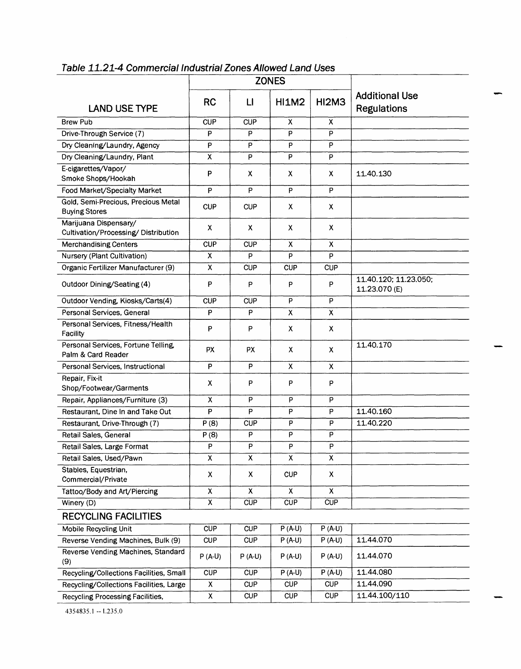|                                                              | <b>ZONES</b>              |              |              |                           |                                             |
|--------------------------------------------------------------|---------------------------|--------------|--------------|---------------------------|---------------------------------------------|
| <b>LAND USE TYPE</b>                                         | <b>RC</b>                 | $\mathsf{L}$ | <b>HI1M2</b> | <b>HI2M3</b>              | <b>Additional Use</b><br><b>Regulations</b> |
| <b>Brew Pub</b>                                              | CUP                       | CUP          | X            | $\boldsymbol{\mathsf{x}}$ |                                             |
| Drive-Through Service (7)                                    | P                         | P            | P            | P                         |                                             |
| Dry Cleaning/Laundry, Agency                                 | P                         | P            | P            | P                         |                                             |
| Dry Cleaning/Laundry, Plant                                  | X                         | P            | P            | P                         |                                             |
| E-cigarettes/Vapor/<br>Smoke Shops/Hookah                    | P                         | X.           | Х            | X                         | 11.40.130                                   |
| Food Market/Specialty Market                                 | P                         | P            | P            | P                         |                                             |
| Gold, Semi-Precious, Precious Metal<br><b>Buying Stores</b>  | <b>CUP</b>                | <b>CUP</b>   | х            | X                         |                                             |
| Marijuana Dispensary/<br>Cultivation/Processing/Distribution | $\boldsymbol{\mathsf{X}}$ | X            | X            | X                         |                                             |
| <b>Merchandising Centers</b>                                 | <b>CUP</b>                | <b>CUP</b>   | χ            | X                         |                                             |
| Nursery (Plant Cultivation)                                  | X                         | P            | P            | P                         |                                             |
| Organic Fertilizer Manufacturer (9)                          | $\boldsymbol{\mathsf{x}}$ | <b>CUP</b>   | <b>CUP</b>   | <b>CUP</b>                |                                             |
| Outdoor Dining/Seating (4)                                   | P                         | P            | P            | P                         | 11.40.120; 11.23.050;<br>11.23.070 (E)      |
| Outdoor Vending, Kiosks/Carts(4)                             | <b>CUP</b>                | <b>CUP</b>   | P            | P                         |                                             |
| Personal Services, General                                   | P                         | P            | X            | $\overline{\mathsf{x}}$   |                                             |
| Personal Services, Fitness/Health<br><b>Facility</b>         | P                         | P            | х            | X                         |                                             |
| Personal Services, Fortune Telling,<br>Palm & Card Reader    | <b>PX</b>                 | <b>PX</b>    | x            | X                         | 11.40.170                                   |
| Personal Services, Instructional                             | P                         | P            | X            | $\mathsf{x}$              |                                             |
| Repair, Fix-it<br>Shop/Footwear/Garments                     | X                         | P            | P            | P                         |                                             |
| Repair, Appliances/Furniture (3)                             | x                         | P            | P            | P                         |                                             |
| Restaurant, Dine In and Take Out                             | P                         | P            | P            | P                         | 11.40.160                                   |
| Restaurant, Drive-Through (7)                                | P(8)                      | <b>CUP</b>   | P            | P                         | 11.40.220                                   |
| Retail Sales, General                                        | P(8)                      | P            | P            | P                         |                                             |
| Retail Sales, Large Format                                   | P                         | P            | P            | P                         |                                             |
| Retail Sales, Used/Pawn                                      | X                         | X            | X            | χ                         |                                             |
| Stables, Equestrian,                                         | X                         | X            | <b>CUP</b>   | X                         |                                             |
| Commercial/Private                                           |                           |              |              |                           |                                             |
| Tattoo/Body and Art/Piercing                                 | $\pmb{\mathsf{X}}$        | X            | X            | $\pmb{\chi}$              |                                             |
| Winery $(D)$                                                 | $\overline{\mathbf{X}}$   | CUP          | <b>CUP</b>   | CUP                       |                                             |
| <b>RECYCLING FACILITIES</b>                                  |                           |              |              |                           |                                             |
| <b>Mobile Recycling Unit</b>                                 | <b>CUP</b>                | <b>CUP</b>   | $P(A-U)$     | $P(A-U)$                  |                                             |
| Reverse Vending Machines, Bulk (9)                           | <b>CUP</b>                | <b>CUP</b>   | $P(A-U)$     | $P(A-U)$                  | 11.44.070                                   |
| Reverse Vending Machines, Standard<br>(9)                    | $P(A-U)$                  | $P(A-U)$     | $P(A-U)$     | $P(A-U)$                  | 11.44.070                                   |
| Recycling/Collections Facilities, Small                      | <b>CUP</b>                | <b>CUP</b>   | $P(A-U)$     | $P(A-U)$                  | 11.44.080                                   |
| Recycling/Collections Facilities, Large                      | X                         | <b>CUP</b>   | <b>CUP</b>   | <b>CUP</b>                | 11.44.090                                   |
| Recycling Processing Facilities,                             | X                         | <b>CUP</b>   | <b>CUP</b>   | <b>CUP</b>                | 11.44.100/110                               |

**Table 11.21-4 Commercial Industrial Zones Allowed Land Uses**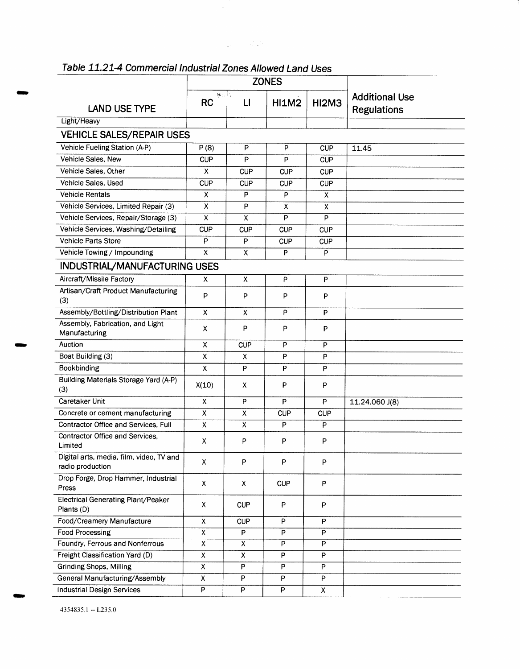|                                                              | <b>ZONES</b>              |                    |              |                    |                                             |
|--------------------------------------------------------------|---------------------------|--------------------|--------------|--------------------|---------------------------------------------|
| <b>LAND USE TYPE</b>                                         | <b>RC</b>                 | f,<br>$\mathsf{L}$ | <b>HI1M2</b> | <b>HI2M3</b>       | <b>Additional Use</b><br><b>Regulations</b> |
| Light/Heavy                                                  |                           |                    |              |                    |                                             |
| <b>VEHICLE SALES/REPAIR USES</b>                             |                           |                    |              |                    |                                             |
| Vehicle Fueling Station (A-P)                                | P(8)                      | P                  | P            | <b>CUP</b>         | 11.45                                       |
| Vehicle Sales, New                                           | <b>CUP</b>                | P                  | P            | <b>CUP</b>         |                                             |
| Vehicle Sales, Other                                         | X                         | <b>CUP</b>         | <b>CUP</b>   | <b>CUP</b>         |                                             |
| Vehicle Sales, Used                                          | <b>CUP</b>                | <b>CUP</b>         | <b>CUP</b>   | <b>CUP</b>         |                                             |
| <b>Vehicle Rentals</b>                                       | X                         | P                  | P            | $\mathsf{x}$       |                                             |
| Vehicle Services, Limited Repair (3)                         | X                         | P                  | х            | X                  |                                             |
| Vehicle Services, Repair/Storage (3)                         | X                         | X                  | P            | P                  |                                             |
| Vehicle Services, Washing/Detailing                          | <b>CUP</b>                | <b>CUP</b>         | <b>CUP</b>   | <b>CUP</b>         |                                             |
| Vehicle Parts Store                                          | P                         | P                  | <b>CUP</b>   | <b>CUP</b>         |                                             |
| Vehicle Towing / Impounding                                  | X                         | x                  | P            | P                  |                                             |
| INDUSTRIAL/MANUFACTURING USES                                |                           |                    |              |                    |                                             |
| Aircraft/Missile Factory                                     | X                         | X                  | P            | P                  |                                             |
| Artisan/Craft Product Manufacturing<br>(3)                   | P                         | P                  | P            | P                  |                                             |
| Assembly/Bottling/Distribution Plant                         | $\mathsf{x}$              | x                  | P            | P                  |                                             |
| Assembly, Fabrication, and Light<br>Manufacturing            | $\mathsf{x}$              | P                  | P            | P                  |                                             |
| Auction                                                      | $\boldsymbol{\mathsf{x}}$ | CUP                | P            | P                  |                                             |
| Boat Building (3)                                            | X                         | х                  | P            | P                  |                                             |
| Bookbinding                                                  | $\mathsf{X}$              | P                  | P            | P                  |                                             |
| Building Materials Storage Yard (A-P)<br>(3)                 | X(10)                     | X                  | P            | P                  |                                             |
| Caretaker Unit                                               | $\mathsf{x}$              | P                  | P            | P                  | 11.24.060 J(8)                              |
| Concrete or cement manufacturing                             | X                         | X                  | <b>CUP</b>   | <b>CUP</b>         |                                             |
| Contractor Office and Services, Full                         | X                         | X                  | P            | P                  |                                             |
| Contractor Office and Services,<br>Limited                   | X                         | P                  | P            | P                  |                                             |
| Digital arts, media, film, video, TV and<br>radio production | x                         | P                  | P            | P                  |                                             |
| Drop Forge, Drop Hammer, Industrial<br>Press                 | X                         | X                  | <b>CUP</b>   | P                  |                                             |
| Electrical Generating Plant/Peaker<br>Plants (D)             | X                         | <b>CUP</b>         | P            | P                  |                                             |
| Food/Creamery Manufacture                                    | $\pmb{\mathsf{X}}$        | <b>CUP</b>         | P            | P                  |                                             |
| Food Processing                                              | $\pmb{\mathsf{X}}$        | P                  | P            | P                  |                                             |
| Foundry, Ferrous and Nonferrous                              | $\overline{\mathsf{x}}$   | $\pmb{\mathsf{X}}$ | P            | P                  |                                             |
| Freight Classification Yard (D)                              | Χ                         | X                  | P            | P                  |                                             |
| <b>Grinding Shops, Milling</b>                               | X                         | P                  | P            | P                  |                                             |
| General Manufacturing/Assembly                               | X                         | P                  | P            | $\sf P$            |                                             |
| <b>Industrial Design Services</b>                            | $\overline{P}$            | P                  | P            | $\pmb{\mathsf{X}}$ |                                             |

 $\label{eq:2.1} \frac{1}{2} \sum_{i=1}^n \frac{1}{2} \sum_{j=1}^n \frac{1}{2} \sum_{j=1}^n \frac{1}{2} \sum_{j=1}^n \frac{1}{2} \sum_{j=1}^n \frac{1}{2} \sum_{j=1}^n \frac{1}{2} \sum_{j=1}^n \frac{1}{2} \sum_{j=1}^n \frac{1}{2} \sum_{j=1}^n \frac{1}{2} \sum_{j=1}^n \frac{1}{2} \sum_{j=1}^n \frac{1}{2} \sum_{j=1}^n \frac{1}{2} \sum_{j=1}^n \frac{$ 

## **Table 1121-4 Commercial Industrial Zones Allowed Land Uses**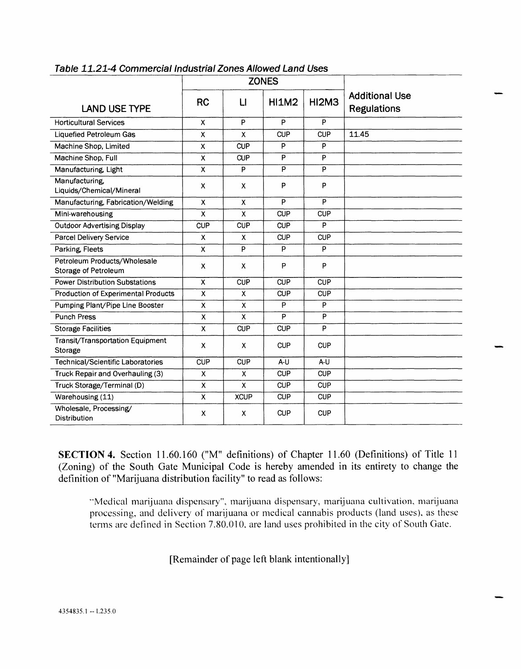|                                                      | <b>ZONES</b>              |                           |                |                |                                             |
|------------------------------------------------------|---------------------------|---------------------------|----------------|----------------|---------------------------------------------|
| <b>LAND USE TYPE</b>                                 | <b>RC</b>                 | $\sqcup$                  | <b>HI1M2</b>   | HI2M3          | <b>Additional Use</b><br><b>Regulations</b> |
| <b>Horticultural Services</b>                        | X                         | P                         | P              | P              |                                             |
| Liquefied Petroleum Gas                              | X                         | $\mathsf{x}$              | <b>CUP</b>     | <b>CUP</b>     | 11.45                                       |
| Machine Shop, Limited                                | X                         | <b>CUP</b>                | P              | P              |                                             |
| Machine Shop, Full                                   | X                         | <b>CUP</b>                | P              | P              |                                             |
| Manufacturing, Light                                 | X                         | P                         | $\overline{P}$ | $\overline{P}$ |                                             |
| Manufacturing,<br>Liquids/Chemical/Mineral           | X                         | X                         | P              | P              |                                             |
| Manufacturing, Fabrication/Welding                   | X                         | X                         | P              | P              |                                             |
| Mini-warehousing                                     | X                         | $\mathsf{x}$              | <b>CUP</b>     | <b>CUP</b>     |                                             |
| <b>Outdoor Advertising Display</b>                   | <b>CUP</b>                | <b>CUP</b>                | <b>CUP</b>     | P              |                                             |
| Parcel Delivery Service                              | X                         | $\mathsf{x}$              | <b>CUP</b>     | <b>CUP</b>     |                                             |
| Parking, Fleets                                      | X                         | P                         | P              | P              |                                             |
| Petroleum Products/Wholesale<br>Storage of Petroleum | X                         | X                         | P              | P              |                                             |
| <b>Power Distribution Substations</b>                | X                         | <b>CUP</b>                | <b>CUP</b>     | <b>CUP</b>     |                                             |
| Production of Experimental Products                  | $\mathsf{x}$              | $\overline{\mathsf{x}}$   | <b>CUP</b>     | <b>CUP</b>     |                                             |
| Pumping Plant/Pipe Line Booster                      | X                         | $\boldsymbol{\mathsf{X}}$ | P              | P              |                                             |
| <b>Punch Press</b>                                   | $\boldsymbol{\mathsf{X}}$ | $\mathsf{x}$              | P              | P              |                                             |
| <b>Storage Facilities</b>                            | $\mathsf{x}$              | <b>CUP</b>                | <b>CUP</b>     | P              |                                             |
| Transit/Transportation Equipment<br>Storage          | X                         | $\mathsf{x}$              | <b>CUP</b>     | <b>CUP</b>     |                                             |
| Technical/Scientific Laboratories                    | <b>CUP</b>                | <b>CUP</b>                | $A-U$          | A-U            |                                             |
| Truck Repair and Overhauling (3)                     | X                         | $\mathsf{x}$              | <b>CUP</b>     | <b>CUP</b>     |                                             |
| Truck Storage/Terminal (D)                           | X                         | $\mathsf{x}$              | <b>CUP</b>     | <b>CUP</b>     |                                             |
| Warehousing (11)                                     | X                         | <b>XCUP</b>               | <b>CUP</b>     | <b>CUP</b>     |                                             |
| Wholesale, Processing/<br>Distribution               | х                         | X                         | <b>CUP</b>     | <b>CUP</b>     |                                             |

#### **Table 11.21-4 Commercial Industrial Zones Allowed Land Uses**

**SECTION 4.** Section 11.60.160 ("M" definitions) of Chapter 11.60 (Definitions) of Title 11 (Zoning) of the South Gate Municipal Code is hereby amended in its entirety to change the definition of "Marijuana distribution facility" to read as follows:

-Medical marijuana dispensary", marijuana dispensary, marijuana cultivation, marijuana processing, and delivery of marijuana or medical cannabis products (land uses), as these terms are defined in Section 7.80.010, are land uses prohibited in the city of South Gate.

[Remainder of page left blank intentionally]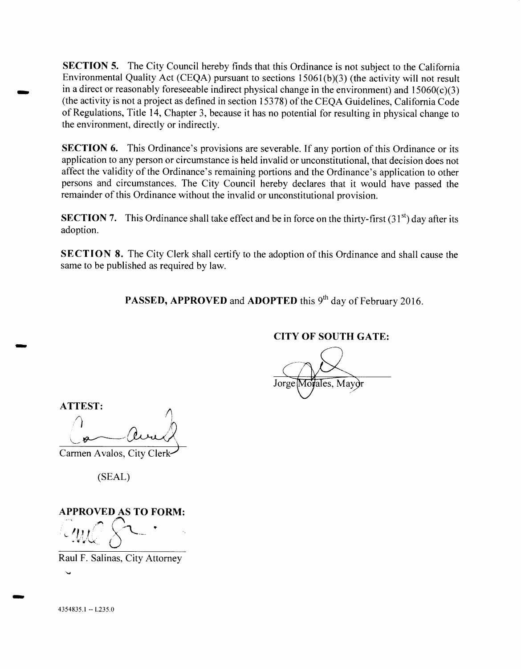**SECTION 5.** The City Council hereby finds that this Ordinance is not subject to the California Environmental Quality Act (CEQA) pursuant to sections 15061(b)(3) (the activity will not result in a direct or reasonably foreseeable indirect physical change in the environment) and  $15060(c)(3)$ (the activity is not a project as defined in section 15378) of the CEQA Guidelines, California Code of Regulations, Title 14, Chapter 3, because it has no potential for resulting in physical change to the environment, directly or indirectly.

**SECTION 6.** This Ordinance's provisions are severable. If any portion of this Ordinance or its application to any person or circumstance is held invalid or unconstitutional, that decision does not affect the validity of the Ordinance's remaining portions and the Ordinance's application to other persons and circumstances. The City Council hereby declares that it would have passed the remainder of this Ordinance without the invalid or unconstitutional provision.

**SECTION 7.** This Ordinance shall take effect and be in force on the thirty-first (31<sup>st</sup>) day after its adoption.

**SECTION 8.** The City Clerk shall certify to the adoption of this Ordinance and shall cause the same to be published as required by law.

**PASSED, APPROVED and ADOPTED this 9<sup>th</sup> day of February 2016.** 

### **CITY OF SOUTH GATE:**

ales, Mayor Jorge

**ATTEST:** 

Carmen Avalos, City Clerk

(SEAL)

**APPROVED AS TO FORM:** 

Raul F. Salinas, City Attorney